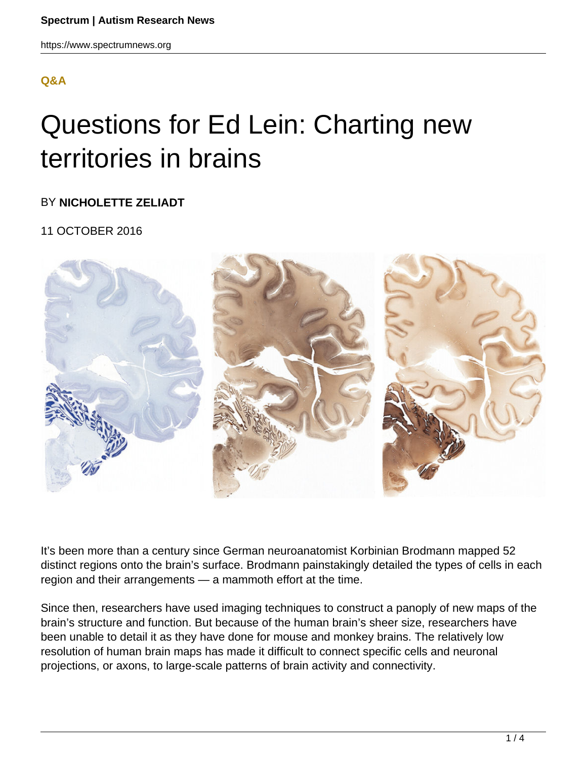# **[Q&A](HTTPS://WWW.SPECTRUMNEWS.ORG/OPINION/Q-AND-A/)**

# Questions for Ed Lein: Charting new territories in brains

## BY **NICHOLETTE ZELIADT**

11 OCTOBER 2016



It's been more than a century since German neuroanatomist Korbinian Brodmann mapped 52 distinct regions onto the brain's surface. Brodmann painstakingly detailed the types of cells in each region and their arrangements — a mammoth effort at the time.

Since then, researchers have used imaging techniques to construct a panoply of new maps of the brain's structure and function. But because of the human brain's sheer size, researchers have been unable to detail it as they have done for mouse and monkey brains. The relatively low resolution of human brain maps has made it difficult to connect specific cells and neuronal projections, or axons, to large-scale patterns of brain activity and connectivity.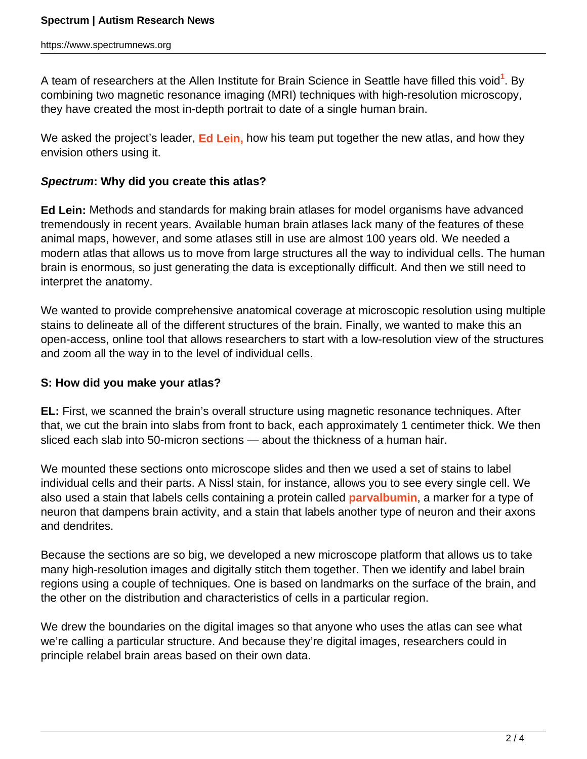A team of researchers at the Allen Institute for Brain Science in Seattle have filled this void**<sup>1</sup>** . By combining two magnetic resonance imaging (MRI) techniques with high-resolution microscopy, they have created the most in-depth portrait to date of a single human brain.

We asked the project's leader, **Ed Lein,** how his team put together the new atlas, and how they envision others using it.

#### **Spectrum: Why did you create this atlas?**

**Ed Lein:** Methods and standards for making brain atlases for model organisms have advanced tremendously in recent years. Available human brain atlases lack many of the features of these animal maps, however, and some atlases still in use are almost 100 years old. We needed a modern atlas that allows us to move from large structures all the way to individual cells. The human brain is enormous, so just generating the data is exceptionally difficult. And then we still need to interpret the anatomy.

We wanted to provide comprehensive anatomical coverage at microscopic resolution using multiple stains to delineate all of the different structures of the brain. Finally, we wanted to make this an open-access, online tool that allows researchers to start with a low-resolution view of the structures and zoom all the way in to the level of individual cells.

#### **S: How did you make your atlas?**

**EL:** First, we scanned the brain's overall structure using magnetic resonance techniques. After that, we cut the brain into slabs from front to back, each approximately 1 centimeter thick. We then sliced each slab into 50-micron sections — about the thickness of a human hair.

We mounted these sections onto microscope slides and then we used a set of stains to label individual cells and their parts. A Nissl stain, for instance, allows you to see every single cell. We also used a stain that labels cells containing a protein called **parvalbumin**, a marker for a type of neuron that dampens brain activity, and a stain that labels another type of neuron and their axons and dendrites.

Because the sections are so big, we developed a new microscope platform that allows us to take many high-resolution images and digitally stitch them together. Then we identify and label brain regions using a couple of techniques. One is based on landmarks on the surface of the brain, and the other on the distribution and characteristics of cells in a particular region.

We drew the boundaries on the digital images so that anyone who uses the atlas can see what we're calling a particular structure. And because they're digital images, researchers could in principle relabel brain areas based on their own data.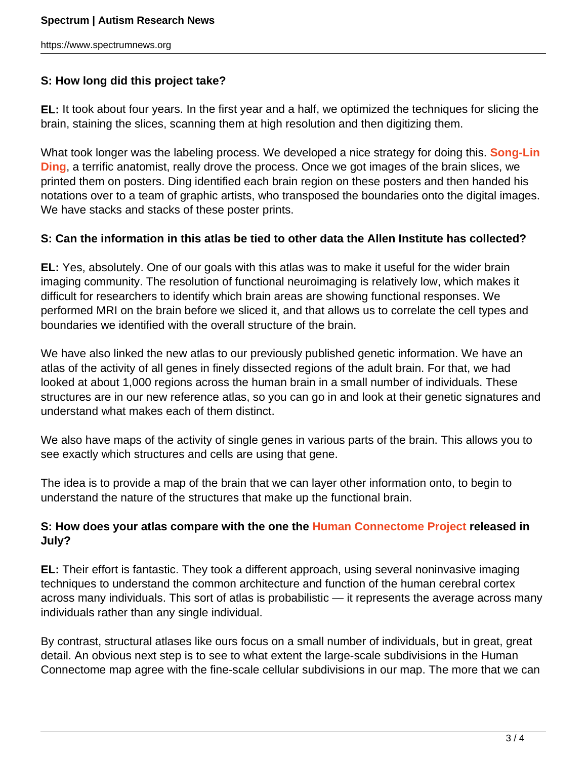### **S: How long did this project take?**

**EL:** It took about four years. In the first year and a half, we optimized the techniques for slicing the brain, staining the slices, scanning them at high resolution and then digitizing them.

What took longer was the labeling process. We developed a nice strategy for doing this. **Song-Lin Ding**, a terrific anatomist, really drove the process. Once we got images of the brain slices, we printed them on posters. Ding identified each brain region on these posters and then handed his notations over to a team of graphic artists, who transposed the boundaries onto the digital images. We have stacks and stacks of these poster prints.

#### **S: Can the information in this atlas be tied to other data the Allen Institute has collected?**

**EL:** Yes, absolutely. One of our goals with this atlas was to make it useful for the wider brain imaging community. The resolution of functional neuroimaging is relatively low, which makes it difficult for researchers to identify which brain areas are showing functional responses. We performed MRI on the brain before we sliced it, and that allows us to correlate the cell types and boundaries we identified with the overall structure of the brain.

We have also linked the new atlas to our previously published genetic information. We have an atlas of the activity of all genes in finely dissected regions of the adult brain. For that, we had looked at about 1,000 regions across the human brain in a small number of individuals. These structures are in our new reference atlas, so you can go in and look at their genetic signatures and understand what makes each of them distinct.

We also have maps of the activity of single genes in various parts of the brain. This allows you to see exactly which structures and cells are using that gene.

The idea is to provide a map of the brain that we can layer other information onto, to begin to understand the nature of the structures that make up the functional brain.

#### **S: How does your atlas compare with the one the Human Connectome Project released in July?**

**EL:** Their effort is fantastic. They took a different approach, using several noninvasive imaging techniques to understand the common architecture and function of the human cerebral cortex across many individuals. This sort of atlas is probabilistic — it represents the average across many individuals rather than any single individual.

By contrast, structural atlases like ours focus on a small number of individuals, but in great, great detail. An obvious next step is to see to what extent the large-scale subdivisions in the Human Connectome map agree with the fine-scale cellular subdivisions in our map. The more that we can